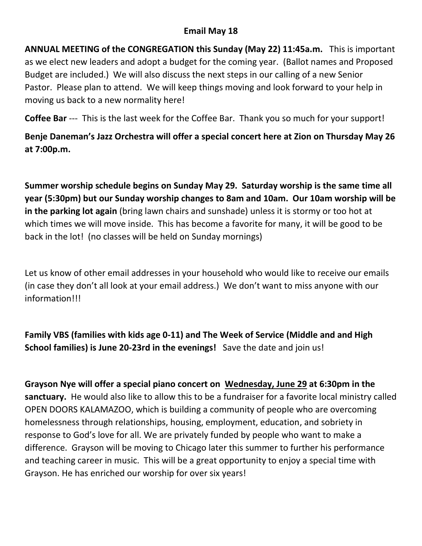## **Email May 18**

**ANNUAL MEETING of the CONGREGATION this Sunday (May 22) 11:45a.m.** This is important as we elect new leaders and adopt a budget for the coming year. (Ballot names and Proposed Budget are included.) We will also discuss the next steps in our calling of a new Senior Pastor. Please plan to attend. We will keep things moving and look forward to your help in moving us back to a new normality here!

**Coffee Bar** --- This is the last week for the Coffee Bar. Thank you so much for your support!

**Benje Daneman's Jazz Orchestra will offer a special concert here at Zion on Thursday May 26 at 7:00p.m.**

**Summer worship schedule begins on Sunday May 29. Saturday worship is the same time all year (5:30pm) but our Sunday worship changes to 8am and 10am. Our 10am worship will be in the parking lot again** (bring lawn chairs and sunshade) unless it is stormy or too hot at which times we will move inside. This has become a favorite for many, it will be good to be back in the lot! (no classes will be held on Sunday mornings)

Let us know of other email addresses in your household who would like to receive our emails (in case they don't all look at your email address.) We don't want to miss anyone with our information!!!

**Family VBS (families with kids age 0-11) and The Week of Service (Middle and and High School families) is June 20-23rd in the evenings!** Save the date and join us!

**Grayson Nye will offer a special piano concert on Wednesday, June 29 at 6:30pm in the sanctuary.** He would also like to allow this to be a fundraiser for a favorite local ministry called OPEN DOORS KALAMAZOO, which is building a community of people who are overcoming homelessness through relationships, housing, employment, education, and sobriety in response to God's love for all. We are privately funded by people who want to make a difference. Grayson will be moving to Chicago later this summer to further his performance and teaching career in music. This will be a great opportunity to enjoy a special time with Grayson. He has enriched our worship for over six years!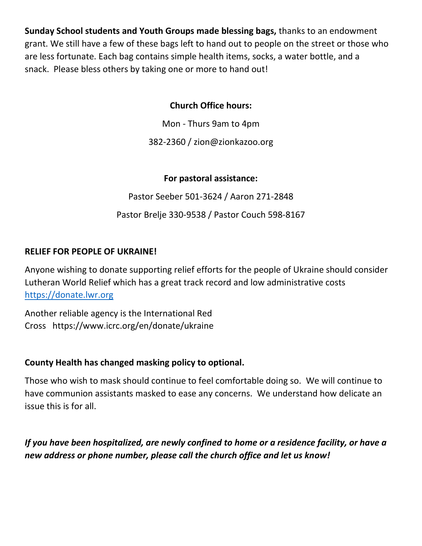**Sunday School students and Youth Groups made blessing bags,** thanks to an endowment grant. We still have a few of these bags left to hand out to people on the street or those who are less fortunate. Each bag contains simple health items, socks, a water bottle, and a snack. Please bless others by taking one or more to hand out!

# **Church Office hours:**

Mon - Thurs 9am to 4pm

382-2360 / zion@zionkazoo.org

## **For pastoral assistance:**

Pastor Seeber 501-3624 / Aaron 271-2848

Pastor Brelje 330-9538 / Pastor Couch 598-8167

# **RELIEF FOR PEOPLE OF UKRAINE!**

Anyone wishing to donate supporting relief efforts for the people of Ukraine should consider Lutheran World Relief which has a great track record and low administrative costs [https://donate.lwr.org](https://donate.lwr.org/)

Another reliable agency is the International Red Cross https://www.icrc.org/en/donate/ukraine

#### **County Health has changed masking policy to optional.**

Those who wish to mask should continue to feel comfortable doing so. We will continue to have communion assistants masked to ease any concerns. We understand how delicate an issue this is for all.

*If you have been hospitalized, are newly confined to home or a residence facility, or have a new address or phone number, please call the church office and let us know!*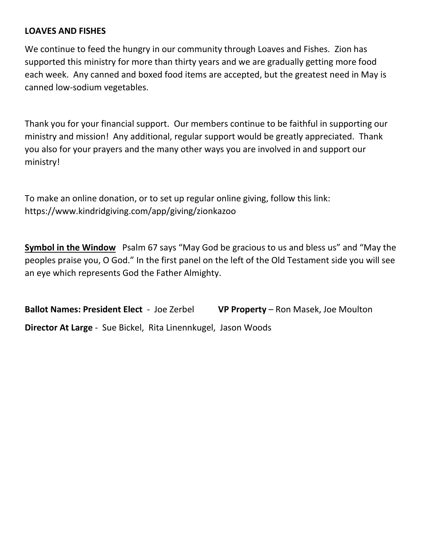#### **LOAVES AND FISHES**

We continue to feed the hungry in our community through Loaves and Fishes. Zion has supported this ministry for more than thirty years and we are gradually getting more food each week. Any canned and boxed food items are accepted, but the greatest need in May is canned low-sodium vegetables.

Thank you for your financial support. Our members continue to be faithful in supporting our ministry and mission! Any additional, regular support would be greatly appreciated. Thank you also for your prayers and the many other ways you are involved in and support our ministry!

To make an online donation, or to set up regular online giving, follow this link: https://www.kindridgiving.com/app/giving/zionkazoo

**Symbol in the Window** Psalm 67 says "May God be gracious to us and bless us" and "May the peoples praise you, O God." In the first panel on the left of the Old Testament side you will see an eye which represents God the Father Almighty.

**Ballot Names: President Elect** - Joe Zerbel **VP Property** – Ron Masek, Joe Moulton **Director At Large** - Sue Bickel, Rita Linennkugel, Jason Woods